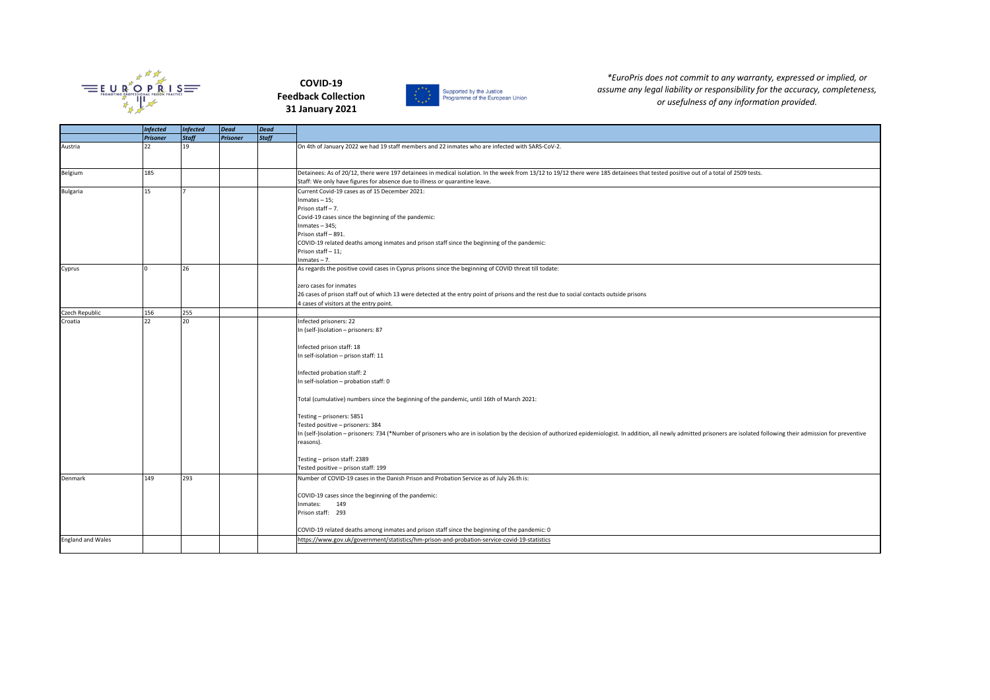

## **COVID-19 Feedback Collection 31 January 2021**





*\*EuroPris does not commit to any warranty, expressed or implied, or assume any legal liability or responsibility for the accuracy, completeness, or usefulness of any information provided.*

|                                     | <b>Infected</b> | <b>Infected</b> | Dead            | Dead         |                                                                                                                                                                                                                                                                                                                                                                                                                                                                                                                                                                                                                                                                                                |
|-------------------------------------|-----------------|-----------------|-----------------|--------------|------------------------------------------------------------------------------------------------------------------------------------------------------------------------------------------------------------------------------------------------------------------------------------------------------------------------------------------------------------------------------------------------------------------------------------------------------------------------------------------------------------------------------------------------------------------------------------------------------------------------------------------------------------------------------------------------|
|                                     | <b>Prisoner</b> | <b>Staff</b>    | <b>Prisoner</b> | <b>Staff</b> |                                                                                                                                                                                                                                                                                                                                                                                                                                                                                                                                                                                                                                                                                                |
| Austria                             | 22              | 19              |                 |              | On 4th of January 2022 we had 19 staff members and 22 inmates who are infected with SARS-CoV-2.                                                                                                                                                                                                                                                                                                                                                                                                                                                                                                                                                                                                |
| Belgium                             | 185             |                 |                 |              | Detainees: As of 20/12, there were 197 detainees in medical isolation. In the week from 13/12 to 19/12 there were 185 detainees that tested positive out of a total of 2509 tests.<br>Staff: We only have figures for absence due to illness or quarantine leave.                                                                                                                                                                                                                                                                                                                                                                                                                              |
| <b>Bulgaria</b>                     | 15              |                 |                 |              | Current Covid-19 cases as of 15 December 2021:<br>$Inmates - 15;$<br>Prison staff-7.<br>Covid-19 cases since the beginning of the pandemic:<br>$Inmates - 345;$<br>Prison staff-891.<br>COVID-19 related deaths among inmates and prison staff since the beginning of the pandemic:<br>Prison staff-11;                                                                                                                                                                                                                                                                                                                                                                                        |
| Cyprus                              |                 | 26              |                 |              | $nmates - 7.$<br>As regards the positive covid cases in Cyprus prisons since the beginning of COVID threat till todate:<br>zero cases for inmates<br>26 cases of prison staff out of which 13 were detected at the entry point of prisons and the rest due to social contacts outside prisons<br>4 cases of visitors at the entry point.                                                                                                                                                                                                                                                                                                                                                       |
| Czech Republic                      | 156             | 255             |                 |              |                                                                                                                                                                                                                                                                                                                                                                                                                                                                                                                                                                                                                                                                                                |
| Croatia                             | 22              | 20              |                 |              | Infected prisoners: 22<br>In (self-)isolation - prisoners: 87<br>Infected prison staff: 18<br>In self-isolation - prison staff: 11<br>Infected probation staff: 2<br>In self-isolation - probation staff: 0<br>Total (cumulative) numbers since the beginning of the pandemic, until 16th of March 2021:<br>Testing - prisoners: 5851<br>Tested positive - prisoners: 384<br>In (self-)isolation - prisoners: 734 (*Number of prisoners who are in isolation by the decision of authorized epidemiologist. In addition, all newly admitted prisoners are isolated following their admission for preventive<br>reasons).<br>Testing - prison staff: 2389<br>Tested positive - prison staff: 199 |
| Denmark<br><b>England and Wales</b> | 149             | 293             |                 |              | Number of COVID-19 cases in the Danish Prison and Probation Service as of July 26.th is:<br>COVID-19 cases since the beginning of the pandemic:<br>149<br>Inmates:<br>Prison staff: 293<br>COVID-19 related deaths among inmates and prison staff since the beginning of the pandemic: 0<br>https://www.gov.uk/government/statistics/hm-prison-and-probation-service-covid-19-statistics                                                                                                                                                                                                                                                                                                       |
|                                     |                 |                 |                 |              |                                                                                                                                                                                                                                                                                                                                                                                                                                                                                                                                                                                                                                                                                                |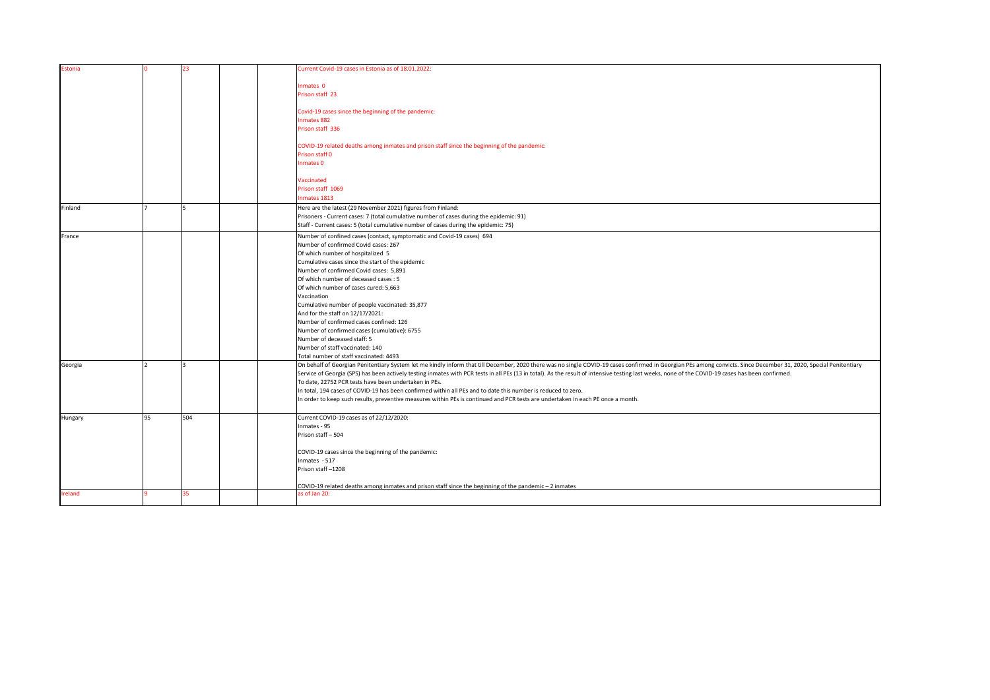| Estonia |    | 23  | Current Covid-19 cases in Estonia as of 18.01.2022:                                                                                                                                                                |
|---------|----|-----|--------------------------------------------------------------------------------------------------------------------------------------------------------------------------------------------------------------------|
|         |    |     |                                                                                                                                                                                                                    |
|         |    |     |                                                                                                                                                                                                                    |
|         |    |     | Inmates 0                                                                                                                                                                                                          |
|         |    |     | Prison staff 23                                                                                                                                                                                                    |
|         |    |     |                                                                                                                                                                                                                    |
|         |    |     | Covid-19 cases since the beginning of the pandemic:                                                                                                                                                                |
|         |    |     | Inmates 882                                                                                                                                                                                                        |
|         |    |     | Prison staff 336                                                                                                                                                                                                   |
|         |    |     |                                                                                                                                                                                                                    |
|         |    |     | COVID-19 related deaths among inmates and prison staff since the beginning of the pandemic:                                                                                                                        |
|         |    |     | Prison staff 0                                                                                                                                                                                                     |
|         |    |     | Inmates 0                                                                                                                                                                                                          |
|         |    |     |                                                                                                                                                                                                                    |
|         |    |     | Vaccinated                                                                                                                                                                                                         |
|         |    |     | Prison staff 1069                                                                                                                                                                                                  |
|         |    |     | Inmates 1813                                                                                                                                                                                                       |
| Finland |    |     | Here are the latest (29 November 2021) figures from Finland:                                                                                                                                                       |
|         |    |     | Prisoners - Current cases: 7 (total cumulative number of cases during the epidemic: 91)                                                                                                                            |
|         |    |     | Staff - Current cases: 5 (total cumulative number of cases during the epidemic: 75)                                                                                                                                |
| France  |    |     | Number of confined cases (contact, symptomatic and Covid-19 cases) 694                                                                                                                                             |
|         |    |     | Number of confirmed Covid cases: 267                                                                                                                                                                               |
|         |    |     | Of which number of hospitalized 5                                                                                                                                                                                  |
|         |    |     | Cumulative cases since the start of the epidemic                                                                                                                                                                   |
|         |    |     | Number of confirmed Covid cases: 5,891                                                                                                                                                                             |
|         |    |     | Of which number of deceased cases : 5                                                                                                                                                                              |
|         |    |     | Of which number of cases cured: 5,663                                                                                                                                                                              |
|         |    |     | Vaccination                                                                                                                                                                                                        |
|         |    |     | Cumulative number of people vaccinated: 35,877                                                                                                                                                                     |
|         |    |     | And for the staff on 12/17/2021:                                                                                                                                                                                   |
|         |    |     | Number of confirmed cases confined: 126                                                                                                                                                                            |
|         |    |     | Number of confirmed cases (cumulative): 6755                                                                                                                                                                       |
|         |    |     | Number of deceased staff: 5                                                                                                                                                                                        |
|         |    |     | Number of staff vaccinated: 140                                                                                                                                                                                    |
|         |    |     | Total number of staff vaccinated: 4493                                                                                                                                                                             |
| Georgia |    |     | On behalf of Georgian Penitentiary System let me kindly inform that till December, 2020 there was no single COVID-19 cases confirmed in Georgian PEs among convicts. Since December 31, 2020, Special Penitentiary |
|         |    |     | Service of Georgia (SPS) has been actively testing inmates with PCR tests in all PEs (13 in total). As the result of intensive testing last weeks, none of the COVID-19 cases has been confirmed.                  |
|         |    |     | To date, 22752 PCR tests have been undertaken in PEs.                                                                                                                                                              |
|         |    |     | In total, 194 cases of COVID-19 has been confirmed within all PEs and to date this number is reduced to zero.                                                                                                      |
|         |    |     | In order to keep such results, preventive measures within PEs is continued and PCR tests are undertaken in each PE once a month.                                                                                   |
|         |    |     |                                                                                                                                                                                                                    |
| Hungary | 95 | 504 | Current COVID-19 cases as of 22/12/2020:                                                                                                                                                                           |
|         |    |     | Inmates - 95                                                                                                                                                                                                       |
|         |    |     | Prison staff-504                                                                                                                                                                                                   |
|         |    |     |                                                                                                                                                                                                                    |
|         |    |     | COVID-19 cases since the beginning of the pandemic:                                                                                                                                                                |
|         |    |     | Inmates - 517                                                                                                                                                                                                      |
|         |    |     | Prison staff-1208                                                                                                                                                                                                  |
|         |    |     |                                                                                                                                                                                                                    |
|         |    |     | COVID-19 related deaths among inmates and prison staff since the beginning of the pandemic - 2 inmates                                                                                                             |
| Ireland |    | 35  | as of Jan 20:                                                                                                                                                                                                      |
|         |    |     |                                                                                                                                                                                                                    |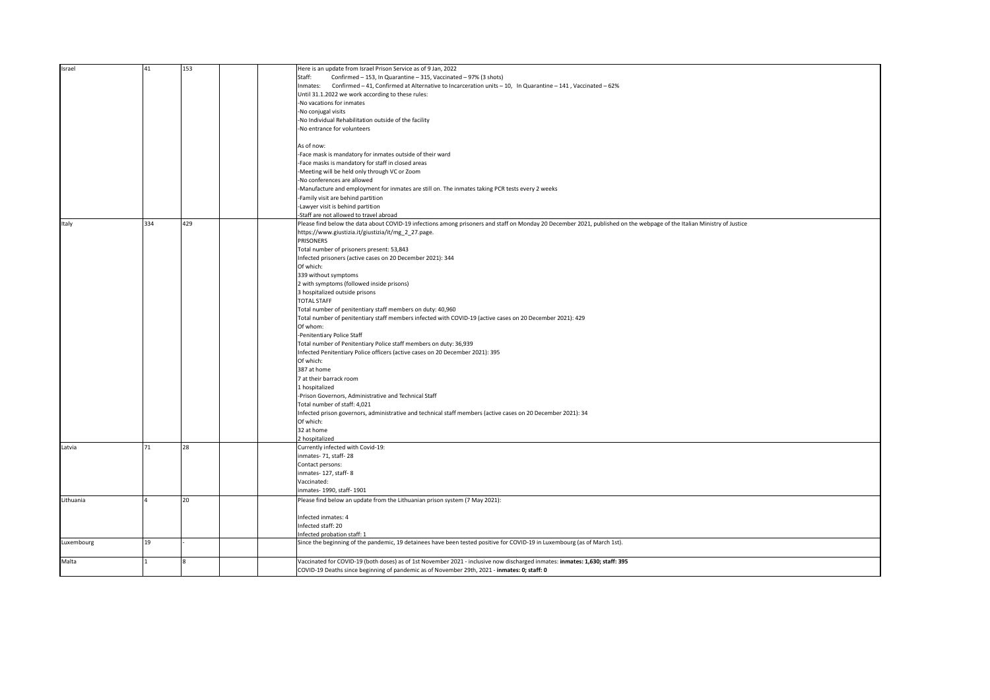| Israel     | 41  | 153 | Here is an update from Israel Prison Service as of 9 Jan, 2022                                                                                                         |
|------------|-----|-----|------------------------------------------------------------------------------------------------------------------------------------------------------------------------|
|            |     |     | Staff:<br>Confirmed - 153, In Quarantine - 315, Vaccinated - 97% (3 shots)                                                                                             |
|            |     |     |                                                                                                                                                                        |
|            |     |     | Inmates: Confirmed - 41, Confirmed at Alternative to Incarceration units - 10, In Quarantine - 141, Vaccinated - 62%                                                   |
|            |     |     | Until 31.1.2022 we work according to these rules:                                                                                                                      |
|            |     |     | No vacations for inmates                                                                                                                                               |
|            |     |     | -No conjugal visits                                                                                                                                                    |
|            |     |     |                                                                                                                                                                        |
|            |     |     | No Individual Rehabilitation outside of the facility                                                                                                                   |
|            |     |     | No entrance for volunteers                                                                                                                                             |
|            |     |     |                                                                                                                                                                        |
|            |     |     | As of now:                                                                                                                                                             |
|            |     |     |                                                                                                                                                                        |
|            |     |     | -Face mask is mandatory for inmates outside of their ward                                                                                                              |
|            |     |     | Face masks is mandatory for staff in closed areas                                                                                                                      |
|            |     |     | Meeting will be held only through VC or Zoom                                                                                                                           |
|            |     |     | No conferences are allowed                                                                                                                                             |
|            |     |     |                                                                                                                                                                        |
|            |     |     | Manufacture and employment for inmates are still on. The inmates taking PCR tests every 2 weeks                                                                        |
|            |     |     | Family visit are behind partition                                                                                                                                      |
|            |     |     | Lawyer visit is behind partition                                                                                                                                       |
|            |     |     | Staff are not allowed to travel abroad                                                                                                                                 |
|            |     |     |                                                                                                                                                                        |
| Italy      | 334 | 429 | Please find below the data about COVID-19 infections among prisoners and staff on Monday 20 December 2021, published on the webpage of the Italian Ministry of Justice |
|            |     |     | https://www.giustizia.it/giustizia/it/mg_2_27.page.                                                                                                                    |
|            |     |     | PRISONERS                                                                                                                                                              |
|            |     |     | Total number of prisoners present: 53,843                                                                                                                              |
|            |     |     |                                                                                                                                                                        |
|            |     |     | Infected prisoners (active cases on 20 December 2021): 344                                                                                                             |
|            |     |     | Of which:                                                                                                                                                              |
|            |     |     | 339 without symptoms                                                                                                                                                   |
|            |     |     | 2 with symptoms (followed inside prisons)                                                                                                                              |
|            |     |     |                                                                                                                                                                        |
|            |     |     | 3 hospitalized outside prisons                                                                                                                                         |
|            |     |     | <b>TOTAL STAFF</b>                                                                                                                                                     |
|            |     |     | Total number of penitentiary staff members on duty: 40,960                                                                                                             |
|            |     |     |                                                                                                                                                                        |
|            |     |     | Total number of penitentiary staff members infected with COVID-19 (active cases on 20 December 2021): 429                                                              |
|            |     |     | Of whom:                                                                                                                                                               |
|            |     |     | Penitentiary Police Staff                                                                                                                                              |
|            |     |     | Total number of Penitentiary Police staff members on duty: 36,939                                                                                                      |
|            |     |     |                                                                                                                                                                        |
|            |     |     | Infected Penitentiary Police officers (active cases on 20 December 2021): 395                                                                                          |
|            |     |     | Of which:                                                                                                                                                              |
|            |     |     | 387 at home                                                                                                                                                            |
|            |     |     | 7 at their barrack room                                                                                                                                                |
|            |     |     |                                                                                                                                                                        |
|            |     |     | 1 hospitalized                                                                                                                                                         |
|            |     |     | -Prison Governors, Administrative and Technical Staff                                                                                                                  |
|            |     |     | Total number of staff: 4,021                                                                                                                                           |
|            |     |     |                                                                                                                                                                        |
|            |     |     | Infected prison governors, administrative and technical staff members (active cases on 20 December 2021): 34                                                           |
|            |     |     | Of which:                                                                                                                                                              |
|            |     |     | 32 at home                                                                                                                                                             |
|            |     |     | 2 hospitalized                                                                                                                                                         |
|            | 71  | 28  | Currently infected with Covid-19:                                                                                                                                      |
| Latvia     |     |     |                                                                                                                                                                        |
|            |     |     | inmates- 71, staff- 28                                                                                                                                                 |
|            |     |     | Contact persons:                                                                                                                                                       |
|            |     |     | nmates-127, staff-8                                                                                                                                                    |
|            |     |     | Vaccinated:                                                                                                                                                            |
|            |     |     |                                                                                                                                                                        |
|            |     |     | inmates- 1990, staff- 1901                                                                                                                                             |
| Lithuania  |     | 20  | Please find below an update from the Lithuanian prison system (7 May 2021):                                                                                            |
|            |     |     |                                                                                                                                                                        |
|            |     |     |                                                                                                                                                                        |
|            |     |     | Infected inmates: 4                                                                                                                                                    |
|            |     |     | Infected staff: 20                                                                                                                                                     |
|            |     |     | Infected probation staff: 1                                                                                                                                            |
| Luxembourg | 19  |     | Since the beginning of the pandemic, 19 detainees have been tested positive for COVID-19 in Luxembourg (as of March 1st).                                              |
|            |     |     |                                                                                                                                                                        |
|            |     |     |                                                                                                                                                                        |
| Malta      |     |     | Vaccinated for COVID-19 (both doses) as of 1st November 2021 - inclusive now discharged inmates: inmates: 1,630; staff: 395                                            |
|            |     |     | COVID-19 Deaths since beginning of pandemic as of November 29th, 2021 - inmates: 0; staff: 0                                                                           |
|            |     |     |                                                                                                                                                                        |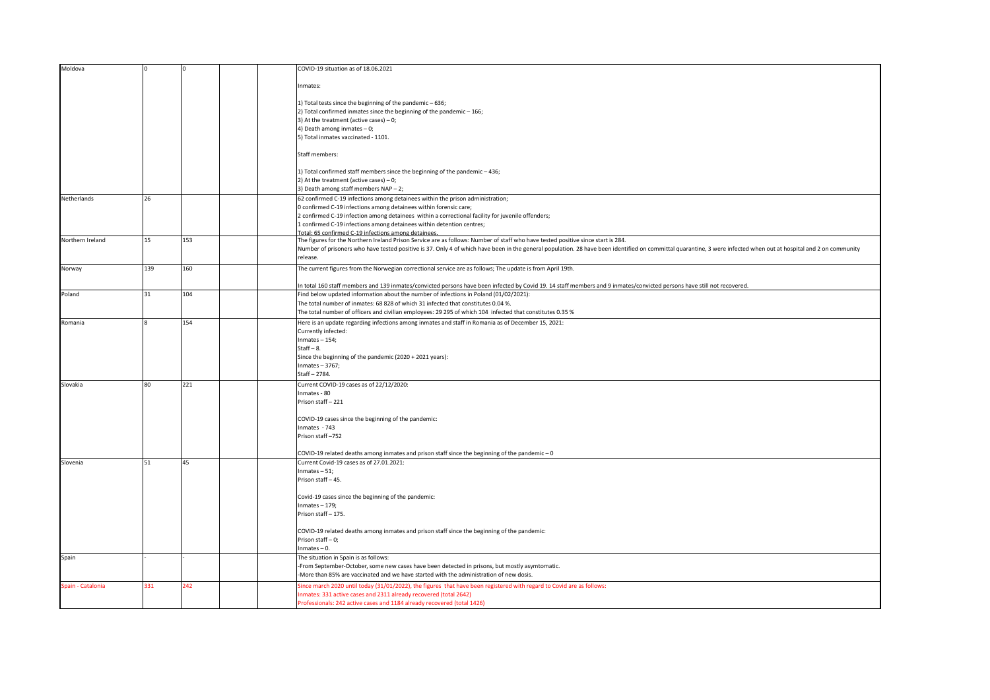| Inmates:<br>1) Total tests since the beginning of the pandemic - 636;<br>2) Total confirmed inmates since the beginning of the pandemic - 166;<br>3) At the treatment (active cases) $-0$ ;<br>4) Death among inmates - 0;<br>5) Total inmates vaccinated - 1101.<br>Staff members:<br>1) Total confirmed staff members since the beginning of the pandemic - 436;<br>2) At the treatment (active cases) $-0$ ;<br>3) Death among staff members NAP - 2;<br>62 confirmed C-19 infections among detainees within the prison administration;<br>Netherlands<br>26<br>0 confirmed C-19 infections among detainees within forensic care;<br>2 confirmed C-19 infection among detainees within a correctional facility for juvenile offenders;<br>1 confirmed C-19 infections among detainees within detention centres;<br>Total: 65 confirmed C-19 infections among detainees<br>153<br>15<br>Northern Ireland<br>The figures for the Northern Ireland Prison Service are as follows: Number of staff who have tested positive since start is 284.<br>Number of prisoners who have tested positive is 37. Only 4 of which have been in the general population. 28 have been identified on committal quarantine, 3 were infected when out at hospital and 2 on community<br>release.<br>139<br>160<br>The current figures from the Norwegian correctional service are as follows; The update is from April 19th.<br>Norway<br>n total 160 staff members and 139 inmates/convicted persons have been infected by Covid 19. 14 staff members and 9 inmates/convicted persons have still not recovered.<br>31<br>104<br>Find below updated information about the number of infections in Poland (01/02/2021):<br>Poland<br>The total number of inmates: 68 828 of which 31 infected that constitutes 0.04 %.<br>The total number of officers and civilian employees: 29 295 of which 104 infected that constitutes 0.35 %<br>154<br>Here is an update regarding infections among inmates and staff in Romania as of December 15, 2021:<br>Romania<br>Currently infected:<br>Inmates $-154$ ;<br>$Start - 8.$<br>Since the beginning of the pandemic (2020 + 2021 years):<br>Inmates - 3767;<br>Staff-2784.<br>221<br>Current COVID-19 cases as of 22/12/2020:<br>Slovakia<br>80<br>Inmates - 80<br>Prison staff-221<br>COVID-19 cases since the beginning of the pandemic:<br>Inmates - 743<br>Prison staff-752<br>COVID-19 related deaths among inmates and prison staff since the beginning of the pandemic - 0<br>Current Covid-19 cases as of 27.01.2021:<br>51<br>45<br>Slovenia<br>Inmates $-51$ ;<br>Prison staff-45.<br>Covid-19 cases since the beginning of the pandemic:<br>Inmates $-179$ ;<br>Prison staff-175.<br>COVID-19 related deaths among inmates and prison staff since the beginning of the pandemic:<br>Prison staff-0;<br>$Inmates - 0.$<br>The situation in Spain is as follows:<br>Spain<br>From September-October, some new cases have been detected in prisons, but mostly asymtomatic.<br>-More than 85% are vaccinated and we have started with the administration of new dosis.<br>Spain - Catalonia<br>331<br>242<br>Since march 2020 until today (31/01/2022), the figures that have been registered with regard to Covid are as follows:<br>nmates: 331 active cases and 2311 already recovered (total 2642) | Moldova |  | COVID-19 situation as of 18.06.2021                                     |
|----------------------------------------------------------------------------------------------------------------------------------------------------------------------------------------------------------------------------------------------------------------------------------------------------------------------------------------------------------------------------------------------------------------------------------------------------------------------------------------------------------------------------------------------------------------------------------------------------------------------------------------------------------------------------------------------------------------------------------------------------------------------------------------------------------------------------------------------------------------------------------------------------------------------------------------------------------------------------------------------------------------------------------------------------------------------------------------------------------------------------------------------------------------------------------------------------------------------------------------------------------------------------------------------------------------------------------------------------------------------------------------------------------------------------------------------------------------------------------------------------------------------------------------------------------------------------------------------------------------------------------------------------------------------------------------------------------------------------------------------------------------------------------------------------------------------------------------------------------------------------------------------------------------------------------------------------------------------------------------------------------------------------------------------------------------------------------------------------------------------------------------------------------------------------------------------------------------------------------------------------------------------------------------------------------------------------------------------------------------------------------------------------------------------------------------------------------------------------------------------------------------------------------------------------------------------------------------------------------------------------------------------------------------------------------------------------------------------------------------------------------------------------------------------------------------------------------------------------------------------------------------------------------------------------------------------------------------------------------------------------------------------------------------------------------------------------------------------------------------------------------------------------------------------------------------------------------------------------------------------------------------------------------------------------------------------------------------|---------|--|-------------------------------------------------------------------------|
|                                                                                                                                                                                                                                                                                                                                                                                                                                                                                                                                                                                                                                                                                                                                                                                                                                                                                                                                                                                                                                                                                                                                                                                                                                                                                                                                                                                                                                                                                                                                                                                                                                                                                                                                                                                                                                                                                                                                                                                                                                                                                                                                                                                                                                                                                                                                                                                                                                                                                                                                                                                                                                                                                                                                                                                                                                                                                                                                                                                                                                                                                                                                                                                                                                                                                                                                        |         |  |                                                                         |
|                                                                                                                                                                                                                                                                                                                                                                                                                                                                                                                                                                                                                                                                                                                                                                                                                                                                                                                                                                                                                                                                                                                                                                                                                                                                                                                                                                                                                                                                                                                                                                                                                                                                                                                                                                                                                                                                                                                                                                                                                                                                                                                                                                                                                                                                                                                                                                                                                                                                                                                                                                                                                                                                                                                                                                                                                                                                                                                                                                                                                                                                                                                                                                                                                                                                                                                                        |         |  |                                                                         |
|                                                                                                                                                                                                                                                                                                                                                                                                                                                                                                                                                                                                                                                                                                                                                                                                                                                                                                                                                                                                                                                                                                                                                                                                                                                                                                                                                                                                                                                                                                                                                                                                                                                                                                                                                                                                                                                                                                                                                                                                                                                                                                                                                                                                                                                                                                                                                                                                                                                                                                                                                                                                                                                                                                                                                                                                                                                                                                                                                                                                                                                                                                                                                                                                                                                                                                                                        |         |  |                                                                         |
|                                                                                                                                                                                                                                                                                                                                                                                                                                                                                                                                                                                                                                                                                                                                                                                                                                                                                                                                                                                                                                                                                                                                                                                                                                                                                                                                                                                                                                                                                                                                                                                                                                                                                                                                                                                                                                                                                                                                                                                                                                                                                                                                                                                                                                                                                                                                                                                                                                                                                                                                                                                                                                                                                                                                                                                                                                                                                                                                                                                                                                                                                                                                                                                                                                                                                                                                        |         |  |                                                                         |
|                                                                                                                                                                                                                                                                                                                                                                                                                                                                                                                                                                                                                                                                                                                                                                                                                                                                                                                                                                                                                                                                                                                                                                                                                                                                                                                                                                                                                                                                                                                                                                                                                                                                                                                                                                                                                                                                                                                                                                                                                                                                                                                                                                                                                                                                                                                                                                                                                                                                                                                                                                                                                                                                                                                                                                                                                                                                                                                                                                                                                                                                                                                                                                                                                                                                                                                                        |         |  |                                                                         |
|                                                                                                                                                                                                                                                                                                                                                                                                                                                                                                                                                                                                                                                                                                                                                                                                                                                                                                                                                                                                                                                                                                                                                                                                                                                                                                                                                                                                                                                                                                                                                                                                                                                                                                                                                                                                                                                                                                                                                                                                                                                                                                                                                                                                                                                                                                                                                                                                                                                                                                                                                                                                                                                                                                                                                                                                                                                                                                                                                                                                                                                                                                                                                                                                                                                                                                                                        |         |  |                                                                         |
|                                                                                                                                                                                                                                                                                                                                                                                                                                                                                                                                                                                                                                                                                                                                                                                                                                                                                                                                                                                                                                                                                                                                                                                                                                                                                                                                                                                                                                                                                                                                                                                                                                                                                                                                                                                                                                                                                                                                                                                                                                                                                                                                                                                                                                                                                                                                                                                                                                                                                                                                                                                                                                                                                                                                                                                                                                                                                                                                                                                                                                                                                                                                                                                                                                                                                                                                        |         |  |                                                                         |
|                                                                                                                                                                                                                                                                                                                                                                                                                                                                                                                                                                                                                                                                                                                                                                                                                                                                                                                                                                                                                                                                                                                                                                                                                                                                                                                                                                                                                                                                                                                                                                                                                                                                                                                                                                                                                                                                                                                                                                                                                                                                                                                                                                                                                                                                                                                                                                                                                                                                                                                                                                                                                                                                                                                                                                                                                                                                                                                                                                                                                                                                                                                                                                                                                                                                                                                                        |         |  |                                                                         |
|                                                                                                                                                                                                                                                                                                                                                                                                                                                                                                                                                                                                                                                                                                                                                                                                                                                                                                                                                                                                                                                                                                                                                                                                                                                                                                                                                                                                                                                                                                                                                                                                                                                                                                                                                                                                                                                                                                                                                                                                                                                                                                                                                                                                                                                                                                                                                                                                                                                                                                                                                                                                                                                                                                                                                                                                                                                                                                                                                                                                                                                                                                                                                                                                                                                                                                                                        |         |  |                                                                         |
|                                                                                                                                                                                                                                                                                                                                                                                                                                                                                                                                                                                                                                                                                                                                                                                                                                                                                                                                                                                                                                                                                                                                                                                                                                                                                                                                                                                                                                                                                                                                                                                                                                                                                                                                                                                                                                                                                                                                                                                                                                                                                                                                                                                                                                                                                                                                                                                                                                                                                                                                                                                                                                                                                                                                                                                                                                                                                                                                                                                                                                                                                                                                                                                                                                                                                                                                        |         |  |                                                                         |
|                                                                                                                                                                                                                                                                                                                                                                                                                                                                                                                                                                                                                                                                                                                                                                                                                                                                                                                                                                                                                                                                                                                                                                                                                                                                                                                                                                                                                                                                                                                                                                                                                                                                                                                                                                                                                                                                                                                                                                                                                                                                                                                                                                                                                                                                                                                                                                                                                                                                                                                                                                                                                                                                                                                                                                                                                                                                                                                                                                                                                                                                                                                                                                                                                                                                                                                                        |         |  |                                                                         |
|                                                                                                                                                                                                                                                                                                                                                                                                                                                                                                                                                                                                                                                                                                                                                                                                                                                                                                                                                                                                                                                                                                                                                                                                                                                                                                                                                                                                                                                                                                                                                                                                                                                                                                                                                                                                                                                                                                                                                                                                                                                                                                                                                                                                                                                                                                                                                                                                                                                                                                                                                                                                                                                                                                                                                                                                                                                                                                                                                                                                                                                                                                                                                                                                                                                                                                                                        |         |  |                                                                         |
|                                                                                                                                                                                                                                                                                                                                                                                                                                                                                                                                                                                                                                                                                                                                                                                                                                                                                                                                                                                                                                                                                                                                                                                                                                                                                                                                                                                                                                                                                                                                                                                                                                                                                                                                                                                                                                                                                                                                                                                                                                                                                                                                                                                                                                                                                                                                                                                                                                                                                                                                                                                                                                                                                                                                                                                                                                                                                                                                                                                                                                                                                                                                                                                                                                                                                                                                        |         |  |                                                                         |
|                                                                                                                                                                                                                                                                                                                                                                                                                                                                                                                                                                                                                                                                                                                                                                                                                                                                                                                                                                                                                                                                                                                                                                                                                                                                                                                                                                                                                                                                                                                                                                                                                                                                                                                                                                                                                                                                                                                                                                                                                                                                                                                                                                                                                                                                                                                                                                                                                                                                                                                                                                                                                                                                                                                                                                                                                                                                                                                                                                                                                                                                                                                                                                                                                                                                                                                                        |         |  |                                                                         |
|                                                                                                                                                                                                                                                                                                                                                                                                                                                                                                                                                                                                                                                                                                                                                                                                                                                                                                                                                                                                                                                                                                                                                                                                                                                                                                                                                                                                                                                                                                                                                                                                                                                                                                                                                                                                                                                                                                                                                                                                                                                                                                                                                                                                                                                                                                                                                                                                                                                                                                                                                                                                                                                                                                                                                                                                                                                                                                                                                                                                                                                                                                                                                                                                                                                                                                                                        |         |  |                                                                         |
|                                                                                                                                                                                                                                                                                                                                                                                                                                                                                                                                                                                                                                                                                                                                                                                                                                                                                                                                                                                                                                                                                                                                                                                                                                                                                                                                                                                                                                                                                                                                                                                                                                                                                                                                                                                                                                                                                                                                                                                                                                                                                                                                                                                                                                                                                                                                                                                                                                                                                                                                                                                                                                                                                                                                                                                                                                                                                                                                                                                                                                                                                                                                                                                                                                                                                                                                        |         |  |                                                                         |
|                                                                                                                                                                                                                                                                                                                                                                                                                                                                                                                                                                                                                                                                                                                                                                                                                                                                                                                                                                                                                                                                                                                                                                                                                                                                                                                                                                                                                                                                                                                                                                                                                                                                                                                                                                                                                                                                                                                                                                                                                                                                                                                                                                                                                                                                                                                                                                                                                                                                                                                                                                                                                                                                                                                                                                                                                                                                                                                                                                                                                                                                                                                                                                                                                                                                                                                                        |         |  |                                                                         |
|                                                                                                                                                                                                                                                                                                                                                                                                                                                                                                                                                                                                                                                                                                                                                                                                                                                                                                                                                                                                                                                                                                                                                                                                                                                                                                                                                                                                                                                                                                                                                                                                                                                                                                                                                                                                                                                                                                                                                                                                                                                                                                                                                                                                                                                                                                                                                                                                                                                                                                                                                                                                                                                                                                                                                                                                                                                                                                                                                                                                                                                                                                                                                                                                                                                                                                                                        |         |  |                                                                         |
|                                                                                                                                                                                                                                                                                                                                                                                                                                                                                                                                                                                                                                                                                                                                                                                                                                                                                                                                                                                                                                                                                                                                                                                                                                                                                                                                                                                                                                                                                                                                                                                                                                                                                                                                                                                                                                                                                                                                                                                                                                                                                                                                                                                                                                                                                                                                                                                                                                                                                                                                                                                                                                                                                                                                                                                                                                                                                                                                                                                                                                                                                                                                                                                                                                                                                                                                        |         |  |                                                                         |
|                                                                                                                                                                                                                                                                                                                                                                                                                                                                                                                                                                                                                                                                                                                                                                                                                                                                                                                                                                                                                                                                                                                                                                                                                                                                                                                                                                                                                                                                                                                                                                                                                                                                                                                                                                                                                                                                                                                                                                                                                                                                                                                                                                                                                                                                                                                                                                                                                                                                                                                                                                                                                                                                                                                                                                                                                                                                                                                                                                                                                                                                                                                                                                                                                                                                                                                                        |         |  |                                                                         |
|                                                                                                                                                                                                                                                                                                                                                                                                                                                                                                                                                                                                                                                                                                                                                                                                                                                                                                                                                                                                                                                                                                                                                                                                                                                                                                                                                                                                                                                                                                                                                                                                                                                                                                                                                                                                                                                                                                                                                                                                                                                                                                                                                                                                                                                                                                                                                                                                                                                                                                                                                                                                                                                                                                                                                                                                                                                                                                                                                                                                                                                                                                                                                                                                                                                                                                                                        |         |  |                                                                         |
|                                                                                                                                                                                                                                                                                                                                                                                                                                                                                                                                                                                                                                                                                                                                                                                                                                                                                                                                                                                                                                                                                                                                                                                                                                                                                                                                                                                                                                                                                                                                                                                                                                                                                                                                                                                                                                                                                                                                                                                                                                                                                                                                                                                                                                                                                                                                                                                                                                                                                                                                                                                                                                                                                                                                                                                                                                                                                                                                                                                                                                                                                                                                                                                                                                                                                                                                        |         |  |                                                                         |
|                                                                                                                                                                                                                                                                                                                                                                                                                                                                                                                                                                                                                                                                                                                                                                                                                                                                                                                                                                                                                                                                                                                                                                                                                                                                                                                                                                                                                                                                                                                                                                                                                                                                                                                                                                                                                                                                                                                                                                                                                                                                                                                                                                                                                                                                                                                                                                                                                                                                                                                                                                                                                                                                                                                                                                                                                                                                                                                                                                                                                                                                                                                                                                                                                                                                                                                                        |         |  |                                                                         |
|                                                                                                                                                                                                                                                                                                                                                                                                                                                                                                                                                                                                                                                                                                                                                                                                                                                                                                                                                                                                                                                                                                                                                                                                                                                                                                                                                                                                                                                                                                                                                                                                                                                                                                                                                                                                                                                                                                                                                                                                                                                                                                                                                                                                                                                                                                                                                                                                                                                                                                                                                                                                                                                                                                                                                                                                                                                                                                                                                                                                                                                                                                                                                                                                                                                                                                                                        |         |  |                                                                         |
|                                                                                                                                                                                                                                                                                                                                                                                                                                                                                                                                                                                                                                                                                                                                                                                                                                                                                                                                                                                                                                                                                                                                                                                                                                                                                                                                                                                                                                                                                                                                                                                                                                                                                                                                                                                                                                                                                                                                                                                                                                                                                                                                                                                                                                                                                                                                                                                                                                                                                                                                                                                                                                                                                                                                                                                                                                                                                                                                                                                                                                                                                                                                                                                                                                                                                                                                        |         |  |                                                                         |
|                                                                                                                                                                                                                                                                                                                                                                                                                                                                                                                                                                                                                                                                                                                                                                                                                                                                                                                                                                                                                                                                                                                                                                                                                                                                                                                                                                                                                                                                                                                                                                                                                                                                                                                                                                                                                                                                                                                                                                                                                                                                                                                                                                                                                                                                                                                                                                                                                                                                                                                                                                                                                                                                                                                                                                                                                                                                                                                                                                                                                                                                                                                                                                                                                                                                                                                                        |         |  |                                                                         |
|                                                                                                                                                                                                                                                                                                                                                                                                                                                                                                                                                                                                                                                                                                                                                                                                                                                                                                                                                                                                                                                                                                                                                                                                                                                                                                                                                                                                                                                                                                                                                                                                                                                                                                                                                                                                                                                                                                                                                                                                                                                                                                                                                                                                                                                                                                                                                                                                                                                                                                                                                                                                                                                                                                                                                                                                                                                                                                                                                                                                                                                                                                                                                                                                                                                                                                                                        |         |  |                                                                         |
|                                                                                                                                                                                                                                                                                                                                                                                                                                                                                                                                                                                                                                                                                                                                                                                                                                                                                                                                                                                                                                                                                                                                                                                                                                                                                                                                                                                                                                                                                                                                                                                                                                                                                                                                                                                                                                                                                                                                                                                                                                                                                                                                                                                                                                                                                                                                                                                                                                                                                                                                                                                                                                                                                                                                                                                                                                                                                                                                                                                                                                                                                                                                                                                                                                                                                                                                        |         |  |                                                                         |
|                                                                                                                                                                                                                                                                                                                                                                                                                                                                                                                                                                                                                                                                                                                                                                                                                                                                                                                                                                                                                                                                                                                                                                                                                                                                                                                                                                                                                                                                                                                                                                                                                                                                                                                                                                                                                                                                                                                                                                                                                                                                                                                                                                                                                                                                                                                                                                                                                                                                                                                                                                                                                                                                                                                                                                                                                                                                                                                                                                                                                                                                                                                                                                                                                                                                                                                                        |         |  |                                                                         |
|                                                                                                                                                                                                                                                                                                                                                                                                                                                                                                                                                                                                                                                                                                                                                                                                                                                                                                                                                                                                                                                                                                                                                                                                                                                                                                                                                                                                                                                                                                                                                                                                                                                                                                                                                                                                                                                                                                                                                                                                                                                                                                                                                                                                                                                                                                                                                                                                                                                                                                                                                                                                                                                                                                                                                                                                                                                                                                                                                                                                                                                                                                                                                                                                                                                                                                                                        |         |  |                                                                         |
|                                                                                                                                                                                                                                                                                                                                                                                                                                                                                                                                                                                                                                                                                                                                                                                                                                                                                                                                                                                                                                                                                                                                                                                                                                                                                                                                                                                                                                                                                                                                                                                                                                                                                                                                                                                                                                                                                                                                                                                                                                                                                                                                                                                                                                                                                                                                                                                                                                                                                                                                                                                                                                                                                                                                                                                                                                                                                                                                                                                                                                                                                                                                                                                                                                                                                                                                        |         |  |                                                                         |
|                                                                                                                                                                                                                                                                                                                                                                                                                                                                                                                                                                                                                                                                                                                                                                                                                                                                                                                                                                                                                                                                                                                                                                                                                                                                                                                                                                                                                                                                                                                                                                                                                                                                                                                                                                                                                                                                                                                                                                                                                                                                                                                                                                                                                                                                                                                                                                                                                                                                                                                                                                                                                                                                                                                                                                                                                                                                                                                                                                                                                                                                                                                                                                                                                                                                                                                                        |         |  |                                                                         |
|                                                                                                                                                                                                                                                                                                                                                                                                                                                                                                                                                                                                                                                                                                                                                                                                                                                                                                                                                                                                                                                                                                                                                                                                                                                                                                                                                                                                                                                                                                                                                                                                                                                                                                                                                                                                                                                                                                                                                                                                                                                                                                                                                                                                                                                                                                                                                                                                                                                                                                                                                                                                                                                                                                                                                                                                                                                                                                                                                                                                                                                                                                                                                                                                                                                                                                                                        |         |  |                                                                         |
|                                                                                                                                                                                                                                                                                                                                                                                                                                                                                                                                                                                                                                                                                                                                                                                                                                                                                                                                                                                                                                                                                                                                                                                                                                                                                                                                                                                                                                                                                                                                                                                                                                                                                                                                                                                                                                                                                                                                                                                                                                                                                                                                                                                                                                                                                                                                                                                                                                                                                                                                                                                                                                                                                                                                                                                                                                                                                                                                                                                                                                                                                                                                                                                                                                                                                                                                        |         |  |                                                                         |
|                                                                                                                                                                                                                                                                                                                                                                                                                                                                                                                                                                                                                                                                                                                                                                                                                                                                                                                                                                                                                                                                                                                                                                                                                                                                                                                                                                                                                                                                                                                                                                                                                                                                                                                                                                                                                                                                                                                                                                                                                                                                                                                                                                                                                                                                                                                                                                                                                                                                                                                                                                                                                                                                                                                                                                                                                                                                                                                                                                                                                                                                                                                                                                                                                                                                                                                                        |         |  |                                                                         |
|                                                                                                                                                                                                                                                                                                                                                                                                                                                                                                                                                                                                                                                                                                                                                                                                                                                                                                                                                                                                                                                                                                                                                                                                                                                                                                                                                                                                                                                                                                                                                                                                                                                                                                                                                                                                                                                                                                                                                                                                                                                                                                                                                                                                                                                                                                                                                                                                                                                                                                                                                                                                                                                                                                                                                                                                                                                                                                                                                                                                                                                                                                                                                                                                                                                                                                                                        |         |  |                                                                         |
|                                                                                                                                                                                                                                                                                                                                                                                                                                                                                                                                                                                                                                                                                                                                                                                                                                                                                                                                                                                                                                                                                                                                                                                                                                                                                                                                                                                                                                                                                                                                                                                                                                                                                                                                                                                                                                                                                                                                                                                                                                                                                                                                                                                                                                                                                                                                                                                                                                                                                                                                                                                                                                                                                                                                                                                                                                                                                                                                                                                                                                                                                                                                                                                                                                                                                                                                        |         |  |                                                                         |
|                                                                                                                                                                                                                                                                                                                                                                                                                                                                                                                                                                                                                                                                                                                                                                                                                                                                                                                                                                                                                                                                                                                                                                                                                                                                                                                                                                                                                                                                                                                                                                                                                                                                                                                                                                                                                                                                                                                                                                                                                                                                                                                                                                                                                                                                                                                                                                                                                                                                                                                                                                                                                                                                                                                                                                                                                                                                                                                                                                                                                                                                                                                                                                                                                                                                                                                                        |         |  |                                                                         |
|                                                                                                                                                                                                                                                                                                                                                                                                                                                                                                                                                                                                                                                                                                                                                                                                                                                                                                                                                                                                                                                                                                                                                                                                                                                                                                                                                                                                                                                                                                                                                                                                                                                                                                                                                                                                                                                                                                                                                                                                                                                                                                                                                                                                                                                                                                                                                                                                                                                                                                                                                                                                                                                                                                                                                                                                                                                                                                                                                                                                                                                                                                                                                                                                                                                                                                                                        |         |  |                                                                         |
|                                                                                                                                                                                                                                                                                                                                                                                                                                                                                                                                                                                                                                                                                                                                                                                                                                                                                                                                                                                                                                                                                                                                                                                                                                                                                                                                                                                                                                                                                                                                                                                                                                                                                                                                                                                                                                                                                                                                                                                                                                                                                                                                                                                                                                                                                                                                                                                                                                                                                                                                                                                                                                                                                                                                                                                                                                                                                                                                                                                                                                                                                                                                                                                                                                                                                                                                        |         |  |                                                                         |
|                                                                                                                                                                                                                                                                                                                                                                                                                                                                                                                                                                                                                                                                                                                                                                                                                                                                                                                                                                                                                                                                                                                                                                                                                                                                                                                                                                                                                                                                                                                                                                                                                                                                                                                                                                                                                                                                                                                                                                                                                                                                                                                                                                                                                                                                                                                                                                                                                                                                                                                                                                                                                                                                                                                                                                                                                                                                                                                                                                                                                                                                                                                                                                                                                                                                                                                                        |         |  |                                                                         |
|                                                                                                                                                                                                                                                                                                                                                                                                                                                                                                                                                                                                                                                                                                                                                                                                                                                                                                                                                                                                                                                                                                                                                                                                                                                                                                                                                                                                                                                                                                                                                                                                                                                                                                                                                                                                                                                                                                                                                                                                                                                                                                                                                                                                                                                                                                                                                                                                                                                                                                                                                                                                                                                                                                                                                                                                                                                                                                                                                                                                                                                                                                                                                                                                                                                                                                                                        |         |  |                                                                         |
|                                                                                                                                                                                                                                                                                                                                                                                                                                                                                                                                                                                                                                                                                                                                                                                                                                                                                                                                                                                                                                                                                                                                                                                                                                                                                                                                                                                                                                                                                                                                                                                                                                                                                                                                                                                                                                                                                                                                                                                                                                                                                                                                                                                                                                                                                                                                                                                                                                                                                                                                                                                                                                                                                                                                                                                                                                                                                                                                                                                                                                                                                                                                                                                                                                                                                                                                        |         |  |                                                                         |
|                                                                                                                                                                                                                                                                                                                                                                                                                                                                                                                                                                                                                                                                                                                                                                                                                                                                                                                                                                                                                                                                                                                                                                                                                                                                                                                                                                                                                                                                                                                                                                                                                                                                                                                                                                                                                                                                                                                                                                                                                                                                                                                                                                                                                                                                                                                                                                                                                                                                                                                                                                                                                                                                                                                                                                                                                                                                                                                                                                                                                                                                                                                                                                                                                                                                                                                                        |         |  |                                                                         |
|                                                                                                                                                                                                                                                                                                                                                                                                                                                                                                                                                                                                                                                                                                                                                                                                                                                                                                                                                                                                                                                                                                                                                                                                                                                                                                                                                                                                                                                                                                                                                                                                                                                                                                                                                                                                                                                                                                                                                                                                                                                                                                                                                                                                                                                                                                                                                                                                                                                                                                                                                                                                                                                                                                                                                                                                                                                                                                                                                                                                                                                                                                                                                                                                                                                                                                                                        |         |  |                                                                         |
|                                                                                                                                                                                                                                                                                                                                                                                                                                                                                                                                                                                                                                                                                                                                                                                                                                                                                                                                                                                                                                                                                                                                                                                                                                                                                                                                                                                                                                                                                                                                                                                                                                                                                                                                                                                                                                                                                                                                                                                                                                                                                                                                                                                                                                                                                                                                                                                                                                                                                                                                                                                                                                                                                                                                                                                                                                                                                                                                                                                                                                                                                                                                                                                                                                                                                                                                        |         |  |                                                                         |
|                                                                                                                                                                                                                                                                                                                                                                                                                                                                                                                                                                                                                                                                                                                                                                                                                                                                                                                                                                                                                                                                                                                                                                                                                                                                                                                                                                                                                                                                                                                                                                                                                                                                                                                                                                                                                                                                                                                                                                                                                                                                                                                                                                                                                                                                                                                                                                                                                                                                                                                                                                                                                                                                                                                                                                                                                                                                                                                                                                                                                                                                                                                                                                                                                                                                                                                                        |         |  |                                                                         |
|                                                                                                                                                                                                                                                                                                                                                                                                                                                                                                                                                                                                                                                                                                                                                                                                                                                                                                                                                                                                                                                                                                                                                                                                                                                                                                                                                                                                                                                                                                                                                                                                                                                                                                                                                                                                                                                                                                                                                                                                                                                                                                                                                                                                                                                                                                                                                                                                                                                                                                                                                                                                                                                                                                                                                                                                                                                                                                                                                                                                                                                                                                                                                                                                                                                                                                                                        |         |  |                                                                         |
|                                                                                                                                                                                                                                                                                                                                                                                                                                                                                                                                                                                                                                                                                                                                                                                                                                                                                                                                                                                                                                                                                                                                                                                                                                                                                                                                                                                                                                                                                                                                                                                                                                                                                                                                                                                                                                                                                                                                                                                                                                                                                                                                                                                                                                                                                                                                                                                                                                                                                                                                                                                                                                                                                                                                                                                                                                                                                                                                                                                                                                                                                                                                                                                                                                                                                                                                        |         |  |                                                                         |
|                                                                                                                                                                                                                                                                                                                                                                                                                                                                                                                                                                                                                                                                                                                                                                                                                                                                                                                                                                                                                                                                                                                                                                                                                                                                                                                                                                                                                                                                                                                                                                                                                                                                                                                                                                                                                                                                                                                                                                                                                                                                                                                                                                                                                                                                                                                                                                                                                                                                                                                                                                                                                                                                                                                                                                                                                                                                                                                                                                                                                                                                                                                                                                                                                                                                                                                                        |         |  |                                                                         |
|                                                                                                                                                                                                                                                                                                                                                                                                                                                                                                                                                                                                                                                                                                                                                                                                                                                                                                                                                                                                                                                                                                                                                                                                                                                                                                                                                                                                                                                                                                                                                                                                                                                                                                                                                                                                                                                                                                                                                                                                                                                                                                                                                                                                                                                                                                                                                                                                                                                                                                                                                                                                                                                                                                                                                                                                                                                                                                                                                                                                                                                                                                                                                                                                                                                                                                                                        |         |  |                                                                         |
|                                                                                                                                                                                                                                                                                                                                                                                                                                                                                                                                                                                                                                                                                                                                                                                                                                                                                                                                                                                                                                                                                                                                                                                                                                                                                                                                                                                                                                                                                                                                                                                                                                                                                                                                                                                                                                                                                                                                                                                                                                                                                                                                                                                                                                                                                                                                                                                                                                                                                                                                                                                                                                                                                                                                                                                                                                                                                                                                                                                                                                                                                                                                                                                                                                                                                                                                        |         |  |                                                                         |
|                                                                                                                                                                                                                                                                                                                                                                                                                                                                                                                                                                                                                                                                                                                                                                                                                                                                                                                                                                                                                                                                                                                                                                                                                                                                                                                                                                                                                                                                                                                                                                                                                                                                                                                                                                                                                                                                                                                                                                                                                                                                                                                                                                                                                                                                                                                                                                                                                                                                                                                                                                                                                                                                                                                                                                                                                                                                                                                                                                                                                                                                                                                                                                                                                                                                                                                                        |         |  |                                                                         |
|                                                                                                                                                                                                                                                                                                                                                                                                                                                                                                                                                                                                                                                                                                                                                                                                                                                                                                                                                                                                                                                                                                                                                                                                                                                                                                                                                                                                                                                                                                                                                                                                                                                                                                                                                                                                                                                                                                                                                                                                                                                                                                                                                                                                                                                                                                                                                                                                                                                                                                                                                                                                                                                                                                                                                                                                                                                                                                                                                                                                                                                                                                                                                                                                                                                                                                                                        |         |  |                                                                         |
|                                                                                                                                                                                                                                                                                                                                                                                                                                                                                                                                                                                                                                                                                                                                                                                                                                                                                                                                                                                                                                                                                                                                                                                                                                                                                                                                                                                                                                                                                                                                                                                                                                                                                                                                                                                                                                                                                                                                                                                                                                                                                                                                                                                                                                                                                                                                                                                                                                                                                                                                                                                                                                                                                                                                                                                                                                                                                                                                                                                                                                                                                                                                                                                                                                                                                                                                        |         |  |                                                                         |
|                                                                                                                                                                                                                                                                                                                                                                                                                                                                                                                                                                                                                                                                                                                                                                                                                                                                                                                                                                                                                                                                                                                                                                                                                                                                                                                                                                                                                                                                                                                                                                                                                                                                                                                                                                                                                                                                                                                                                                                                                                                                                                                                                                                                                                                                                                                                                                                                                                                                                                                                                                                                                                                                                                                                                                                                                                                                                                                                                                                                                                                                                                                                                                                                                                                                                                                                        |         |  |                                                                         |
|                                                                                                                                                                                                                                                                                                                                                                                                                                                                                                                                                                                                                                                                                                                                                                                                                                                                                                                                                                                                                                                                                                                                                                                                                                                                                                                                                                                                                                                                                                                                                                                                                                                                                                                                                                                                                                                                                                                                                                                                                                                                                                                                                                                                                                                                                                                                                                                                                                                                                                                                                                                                                                                                                                                                                                                                                                                                                                                                                                                                                                                                                                                                                                                                                                                                                                                                        |         |  |                                                                         |
|                                                                                                                                                                                                                                                                                                                                                                                                                                                                                                                                                                                                                                                                                                                                                                                                                                                                                                                                                                                                                                                                                                                                                                                                                                                                                                                                                                                                                                                                                                                                                                                                                                                                                                                                                                                                                                                                                                                                                                                                                                                                                                                                                                                                                                                                                                                                                                                                                                                                                                                                                                                                                                                                                                                                                                                                                                                                                                                                                                                                                                                                                                                                                                                                                                                                                                                                        |         |  |                                                                         |
|                                                                                                                                                                                                                                                                                                                                                                                                                                                                                                                                                                                                                                                                                                                                                                                                                                                                                                                                                                                                                                                                                                                                                                                                                                                                                                                                                                                                                                                                                                                                                                                                                                                                                                                                                                                                                                                                                                                                                                                                                                                                                                                                                                                                                                                                                                                                                                                                                                                                                                                                                                                                                                                                                                                                                                                                                                                                                                                                                                                                                                                                                                                                                                                                                                                                                                                                        |         |  | Professionals: 242 active cases and 1184 already recovered (total 1426) |